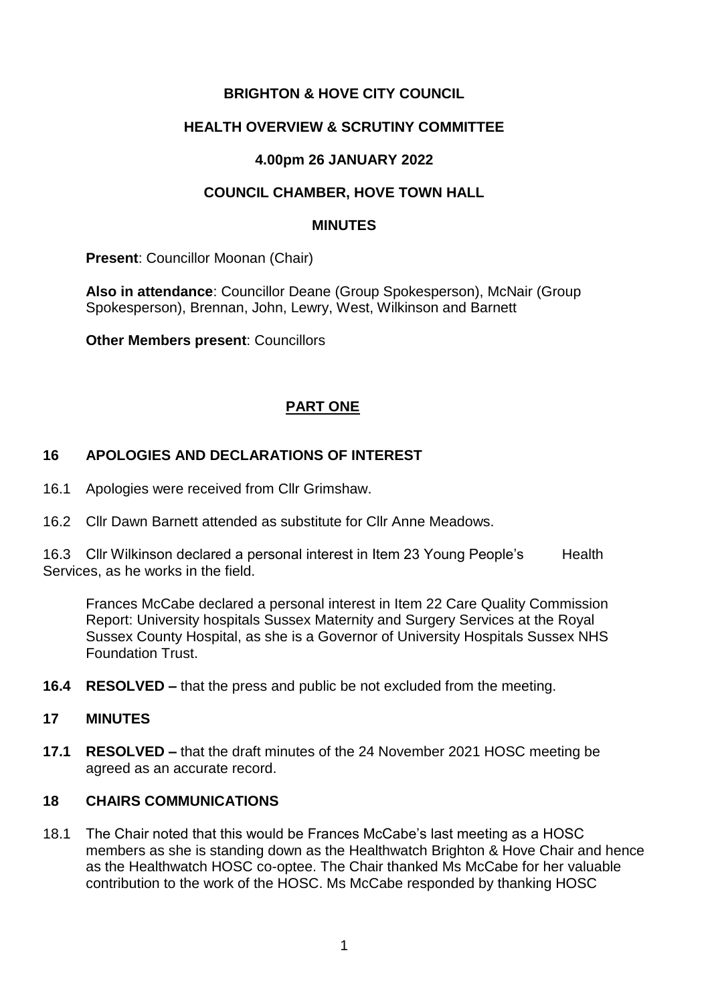## **BRIGHTON & HOVE CITY COUNCIL**

#### **HEALTH OVERVIEW & SCRUTINY COMMITTEE**

### **4.00pm 26 JANUARY 2022**

### **COUNCIL CHAMBER, HOVE TOWN HALL**

#### **MINUTES**

**Present**: Councillor Moonan (Chair)

**Also in attendance**: Councillor Deane (Group Spokesperson), McNair (Group Spokesperson), Brennan, John, Lewry, West, Wilkinson and Barnett

**Other Members present**: Councillors

### **PART ONE**

### **16 APOLOGIES AND DECLARATIONS OF INTEREST**

- 16.1 Apologies were received from Cllr Grimshaw.
- 16.2 Cllr Dawn Barnett attended as substitute for Cllr Anne Meadows.

16.3 Cllr Wilkinson declared a personal interest in Item 23 Young People's Health Services, as he works in the field.

Frances McCabe declared a personal interest in Item 22 Care Quality Commission Report: University hospitals Sussex Maternity and Surgery Services at the Royal Sussex County Hospital, as she is a Governor of University Hospitals Sussex NHS Foundation Trust.

**16.4 RESOLVED –** that the press and public be not excluded from the meeting.

#### **17 MINUTES**

**17.1 RESOLVED –** that the draft minutes of the 24 November 2021 HOSC meeting be agreed as an accurate record.

#### **18 CHAIRS COMMUNICATIONS**

18.1 The Chair noted that this would be Frances McCabe's last meeting as a HOSC members as she is standing down as the Healthwatch Brighton & Hove Chair and hence as the Healthwatch HOSC co-optee. The Chair thanked Ms McCabe for her valuable contribution to the work of the HOSC. Ms McCabe responded by thanking HOSC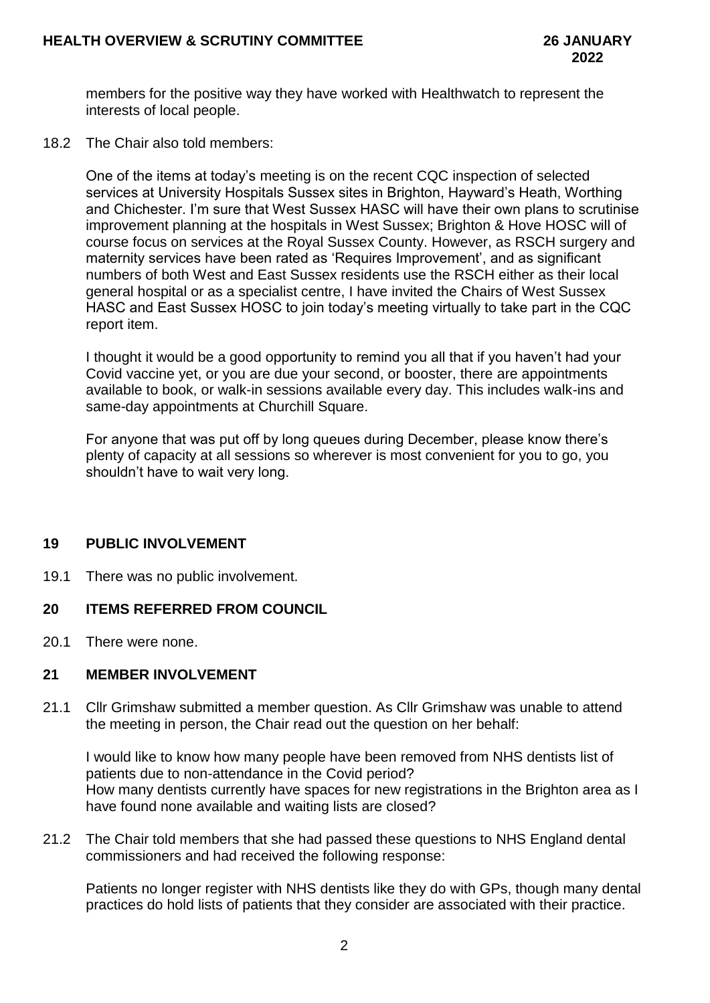members for the positive way they have worked with Healthwatch to represent the interests of local people.

18.2 The Chair also told members:

One of the items at today's meeting is on the recent CQC inspection of selected services at University Hospitals Sussex sites in Brighton, Hayward's Heath, Worthing and Chichester. I'm sure that West Sussex HASC will have their own plans to scrutinise improvement planning at the hospitals in West Sussex; Brighton & Hove HOSC will of course focus on services at the Royal Sussex County. However, as RSCH surgery and maternity services have been rated as 'Requires Improvement', and as significant numbers of both West and East Sussex residents use the RSCH either as their local general hospital or as a specialist centre, I have invited the Chairs of West Sussex HASC and East Sussex HOSC to join today's meeting virtually to take part in the CQC report item.

I thought it would be a good opportunity to remind you all that if you haven't had your Covid vaccine yet, or you are due your second, or booster, there are appointments available to book, or walk-in sessions available every day. This includes walk-ins and same-day appointments at Churchill Square.

For anyone that was put off by long queues during December, please know there's plenty of capacity at all sessions so wherever is most convenient for you to go, you shouldn't have to wait very long.

#### **19 PUBLIC INVOLVEMENT**

19.1 There was no public involvement.

#### **20 ITEMS REFERRED FROM COUNCIL**

20.1 There were none.

### **21 MEMBER INVOLVEMENT**

21.1 Cllr Grimshaw submitted a member question. As Cllr Grimshaw was unable to attend the meeting in person, the Chair read out the question on her behalf:

I would like to know how many people have been removed from NHS dentists list of patients due to non-attendance in the Covid period? How many dentists currently have spaces for new registrations in the Brighton area as I have found none available and waiting lists are closed?

21.2 The Chair told members that she had passed these questions to NHS England dental commissioners and had received the following response:

Patients no longer register with NHS dentists like they do with GPs, though many dental practices do hold lists of patients that they consider are associated with their practice.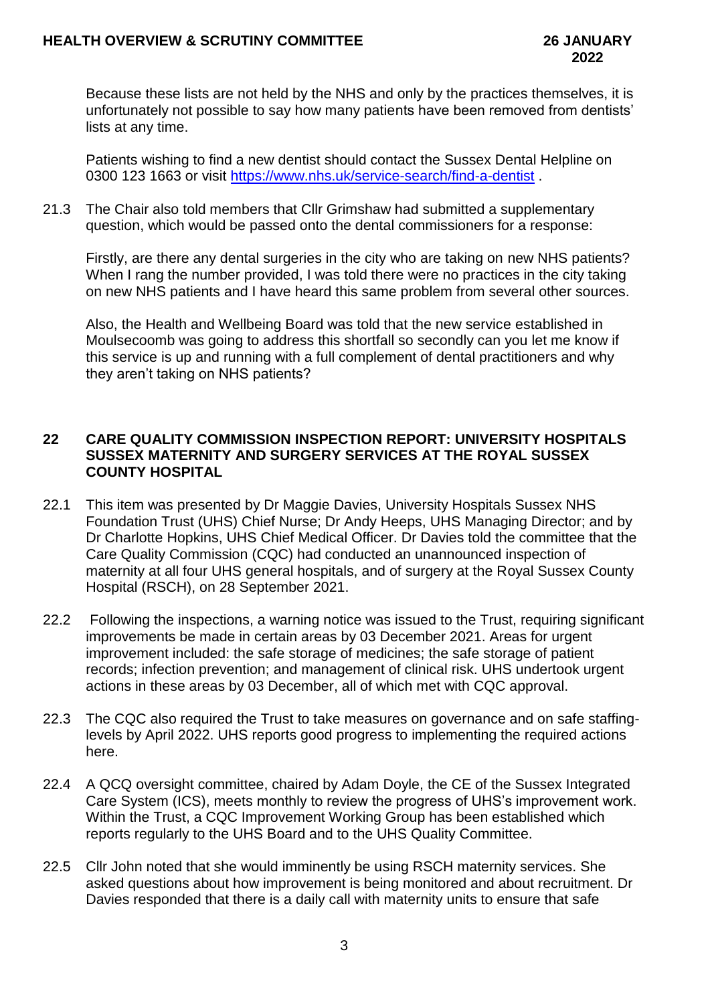Because these lists are not held by the NHS and only by the practices themselves, it is unfortunately not possible to say how many patients have been removed from dentists' lists at any time.

Patients wishing to find a new dentist should contact the Sussex Dental Helpline on 0300 123 1663 or visit<https://www.nhs.uk/service-search/find-a-dentist> .

21.3 The Chair also told members that Cllr Grimshaw had submitted a supplementary question, which would be passed onto the dental commissioners for a response:

Firstly, are there any dental surgeries in the city who are taking on new NHS patients? When I rang the number provided, I was told there were no practices in the city taking on new NHS patients and I have heard this same problem from several other sources.

Also, the Health and Wellbeing Board was told that the new service established in Moulsecoomb was going to address this shortfall so secondly can you let me know if this service is up and running with a full complement of dental practitioners and why they aren't taking on NHS patients?

### **22 CARE QUALITY COMMISSION INSPECTION REPORT: UNIVERSITY HOSPITALS SUSSEX MATERNITY AND SURGERY SERVICES AT THE ROYAL SUSSEX COUNTY HOSPITAL**

- 22.1 This item was presented by Dr Maggie Davies, University Hospitals Sussex NHS Foundation Trust (UHS) Chief Nurse; Dr Andy Heeps, UHS Managing Director; and by Dr Charlotte Hopkins, UHS Chief Medical Officer. Dr Davies told the committee that the Care Quality Commission (CQC) had conducted an unannounced inspection of maternity at all four UHS general hospitals, and of surgery at the Royal Sussex County Hospital (RSCH), on 28 September 2021.
- 22.2 Following the inspections, a warning notice was issued to the Trust, requiring significant improvements be made in certain areas by 03 December 2021. Areas for urgent improvement included: the safe storage of medicines; the safe storage of patient records; infection prevention; and management of clinical risk. UHS undertook urgent actions in these areas by 03 December, all of which met with CQC approval.
- 22.3 The CQC also required the Trust to take measures on governance and on safe staffinglevels by April 2022. UHS reports good progress to implementing the required actions here.
- 22.4 A QCQ oversight committee, chaired by Adam Doyle, the CE of the Sussex Integrated Care System (ICS), meets monthly to review the progress of UHS's improvement work. Within the Trust, a CQC Improvement Working Group has been established which reports regularly to the UHS Board and to the UHS Quality Committee.
- 22.5 Cllr John noted that she would imminently be using RSCH maternity services. She asked questions about how improvement is being monitored and about recruitment. Dr Davies responded that there is a daily call with maternity units to ensure that safe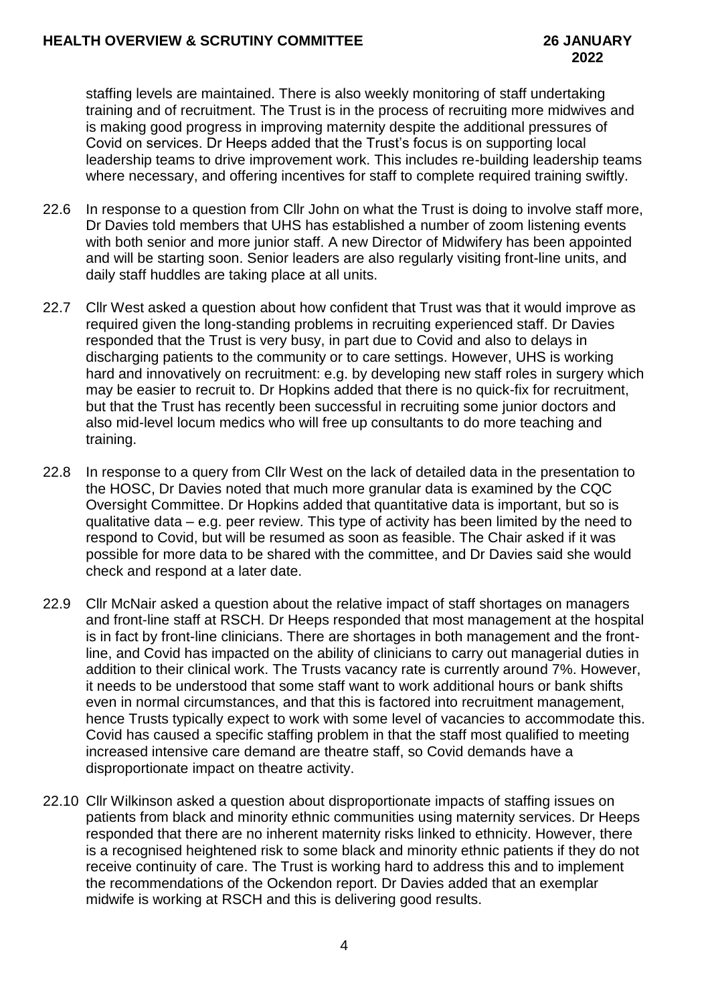staffing levels are maintained. There is also weekly monitoring of staff undertaking training and of recruitment. The Trust is in the process of recruiting more midwives and is making good progress in improving maternity despite the additional pressures of Covid on services. Dr Heeps added that the Trust's focus is on supporting local leadership teams to drive improvement work. This includes re-building leadership teams where necessary, and offering incentives for staff to complete required training swiftly.

- 22.6 In response to a question from Cllr John on what the Trust is doing to involve staff more, Dr Davies told members that UHS has established a number of zoom listening events with both senior and more junior staff. A new Director of Midwifery has been appointed and will be starting soon. Senior leaders are also regularly visiting front-line units, and daily staff huddles are taking place at all units.
- 22.7 Cllr West asked a question about how confident that Trust was that it would improve as required given the long-standing problems in recruiting experienced staff. Dr Davies responded that the Trust is very busy, in part due to Covid and also to delays in discharging patients to the community or to care settings. However, UHS is working hard and innovatively on recruitment: e.g. by developing new staff roles in surgery which may be easier to recruit to. Dr Hopkins added that there is no quick-fix for recruitment, but that the Trust has recently been successful in recruiting some junior doctors and also mid-level locum medics who will free up consultants to do more teaching and training.
- 22.8 In response to a query from Cllr West on the lack of detailed data in the presentation to the HOSC, Dr Davies noted that much more granular data is examined by the CQC Oversight Committee. Dr Hopkins added that quantitative data is important, but so is qualitative data – e.g. peer review. This type of activity has been limited by the need to respond to Covid, but will be resumed as soon as feasible. The Chair asked if it was possible for more data to be shared with the committee, and Dr Davies said she would check and respond at a later date.
- 22.9 Cllr McNair asked a question about the relative impact of staff shortages on managers and front-line staff at RSCH. Dr Heeps responded that most management at the hospital is in fact by front-line clinicians. There are shortages in both management and the frontline, and Covid has impacted on the ability of clinicians to carry out managerial duties in addition to their clinical work. The Trusts vacancy rate is currently around 7%. However, it needs to be understood that some staff want to work additional hours or bank shifts even in normal circumstances, and that this is factored into recruitment management, hence Trusts typically expect to work with some level of vacancies to accommodate this. Covid has caused a specific staffing problem in that the staff most qualified to meeting increased intensive care demand are theatre staff, so Covid demands have a disproportionate impact on theatre activity.
- 22.10 Cllr Wilkinson asked a question about disproportionate impacts of staffing issues on patients from black and minority ethnic communities using maternity services. Dr Heeps responded that there are no inherent maternity risks linked to ethnicity. However, there is a recognised heightened risk to some black and minority ethnic patients if they do not receive continuity of care. The Trust is working hard to address this and to implement the recommendations of the Ockendon report. Dr Davies added that an exemplar midwife is working at RSCH and this is delivering good results.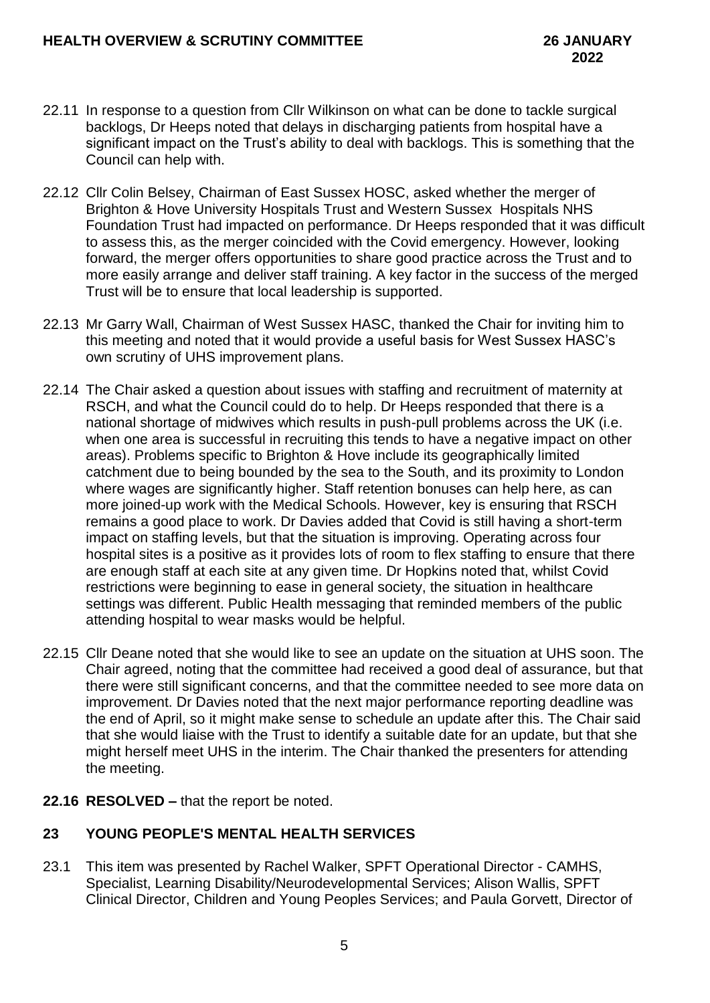- 22.11 In response to a question from Cllr Wilkinson on what can be done to tackle surgical backlogs, Dr Heeps noted that delays in discharging patients from hospital have a significant impact on the Trust's ability to deal with backlogs. This is something that the Council can help with.
- 22.12 Cllr Colin Belsey, Chairman of East Sussex HOSC, asked whether the merger of Brighton & Hove University Hospitals Trust and Western Sussex Hospitals NHS Foundation Trust had impacted on performance. Dr Heeps responded that it was difficult to assess this, as the merger coincided with the Covid emergency. However, looking forward, the merger offers opportunities to share good practice across the Trust and to more easily arrange and deliver staff training. A key factor in the success of the merged Trust will be to ensure that local leadership is supported.
- 22.13 Mr Garry Wall, Chairman of West Sussex HASC, thanked the Chair for inviting him to this meeting and noted that it would provide a useful basis for West Sussex HASC's own scrutiny of UHS improvement plans.
- 22.14 The Chair asked a question about issues with staffing and recruitment of maternity at RSCH, and what the Council could do to help. Dr Heeps responded that there is a national shortage of midwives which results in push-pull problems across the UK (i.e. when one area is successful in recruiting this tends to have a negative impact on other areas). Problems specific to Brighton & Hove include its geographically limited catchment due to being bounded by the sea to the South, and its proximity to London where wages are significantly higher. Staff retention bonuses can help here, as can more joined-up work with the Medical Schools. However, key is ensuring that RSCH remains a good place to work. Dr Davies added that Covid is still having a short-term impact on staffing levels, but that the situation is improving. Operating across four hospital sites is a positive as it provides lots of room to flex staffing to ensure that there are enough staff at each site at any given time. Dr Hopkins noted that, whilst Covid restrictions were beginning to ease in general society, the situation in healthcare settings was different. Public Health messaging that reminded members of the public attending hospital to wear masks would be helpful.
- 22.15 Cllr Deane noted that she would like to see an update on the situation at UHS soon. The Chair agreed, noting that the committee had received a good deal of assurance, but that there were still significant concerns, and that the committee needed to see more data on improvement. Dr Davies noted that the next major performance reporting deadline was the end of April, so it might make sense to schedule an update after this. The Chair said that she would liaise with the Trust to identify a suitable date for an update, but that she might herself meet UHS in the interim. The Chair thanked the presenters for attending the meeting.

# **22.16 RESOLVED –** that the report be noted.

# **23 YOUNG PEOPLE'S MENTAL HEALTH SERVICES**

23.1 This item was presented by Rachel Walker, SPFT Operational Director - CAMHS, Specialist, Learning Disability/Neurodevelopmental Services; Alison Wallis, SPFT Clinical Director, Children and Young Peoples Services; and Paula Gorvett, Director of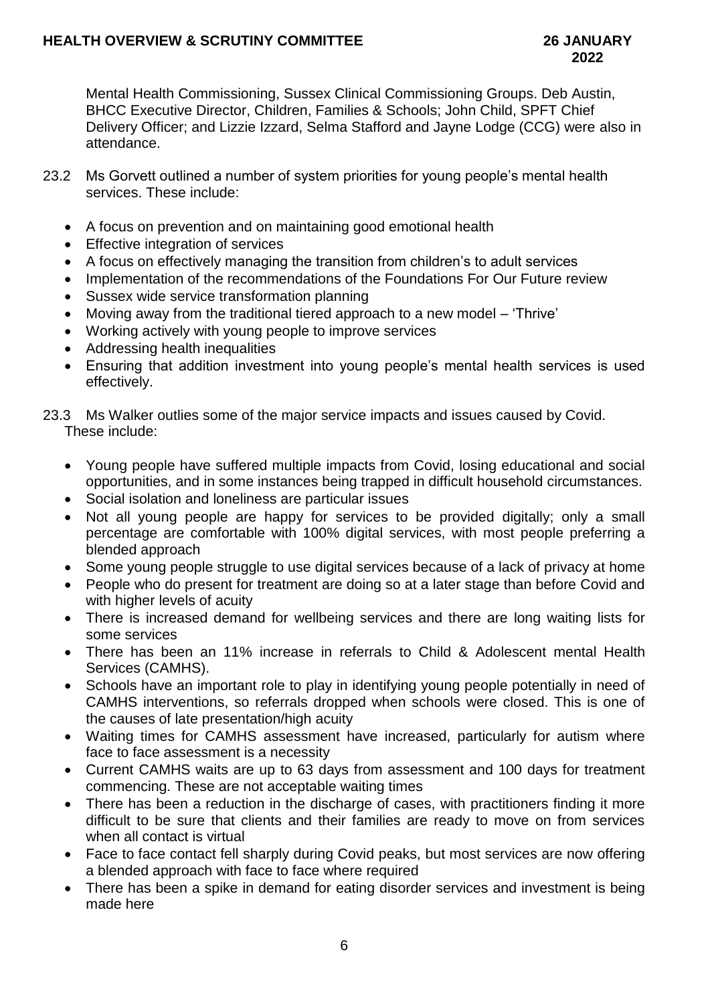Mental Health Commissioning, Sussex Clinical Commissioning Groups. Deb Austin, BHCC Executive Director, Children, Families & Schools; John Child, SPFT Chief Delivery Officer; and Lizzie Izzard, Selma Stafford and Jayne Lodge (CCG) were also in attendance.

- 23.2 Ms Gorvett outlined a number of system priorities for young people's mental health services. These include:
	- A focus on prevention and on maintaining good emotional health
	- Effective integration of services
	- A focus on effectively managing the transition from children's to adult services
	- Implementation of the recommendations of the Foundations For Our Future review
	- Sussex wide service transformation planning
	- Moving away from the traditional tiered approach to a new model 'Thrive'
	- Working actively with young people to improve services
	- Addressing health inequalities
	- Ensuring that addition investment into young people's mental health services is used effectively.

### 23.3 Ms Walker outlies some of the major service impacts and issues caused by Covid. These include:

- Young people have suffered multiple impacts from Covid, losing educational and social opportunities, and in some instances being trapped in difficult household circumstances.
- Social isolation and loneliness are particular issues
- Not all young people are happy for services to be provided digitally; only a small percentage are comfortable with 100% digital services, with most people preferring a blended approach
- Some young people struggle to use digital services because of a lack of privacy at home
- People who do present for treatment are doing so at a later stage than before Covid and with higher levels of acuity
- There is increased demand for wellbeing services and there are long waiting lists for some services
- There has been an 11% increase in referrals to Child & Adolescent mental Health Services (CAMHS).
- Schools have an important role to play in identifying young people potentially in need of CAMHS interventions, so referrals dropped when schools were closed. This is one of the causes of late presentation/high acuity
- Waiting times for CAMHS assessment have increased, particularly for autism where face to face assessment is a necessity
- Current CAMHS waits are up to 63 days from assessment and 100 days for treatment commencing. These are not acceptable waiting times
- There has been a reduction in the discharge of cases, with practitioners finding it more difficult to be sure that clients and their families are ready to move on from services when all contact is virtual
- Face to face contact fell sharply during Covid peaks, but most services are now offering a blended approach with face to face where required
- There has been a spike in demand for eating disorder services and investment is being made here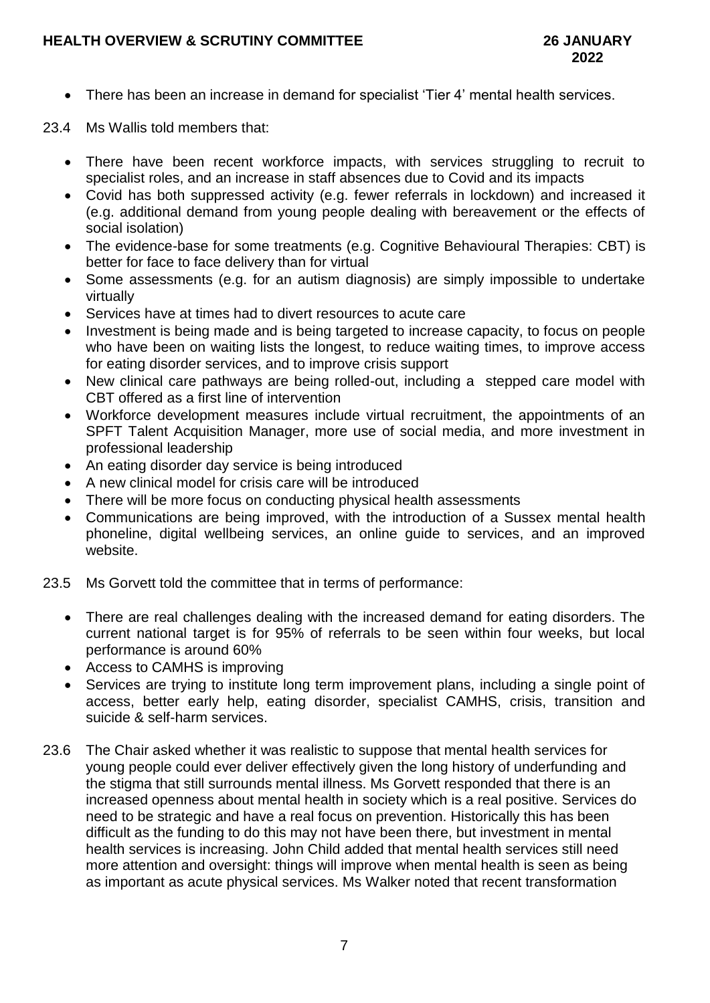- There has been an increase in demand for specialist 'Tier 4' mental health services.
- 23.4 Ms Wallis told members that:
	- There have been recent workforce impacts, with services struggling to recruit to specialist roles, and an increase in staff absences due to Covid and its impacts
	- Covid has both suppressed activity (e.g. fewer referrals in lockdown) and increased it (e.g. additional demand from young people dealing with bereavement or the effects of social isolation)
	- The evidence-base for some treatments (e.g. Cognitive Behavioural Therapies: CBT) is better for face to face delivery than for virtual
	- Some assessments (e.g. for an autism diagnosis) are simply impossible to undertake virtually
	- Services have at times had to divert resources to acute care
	- Investment is being made and is being targeted to increase capacity, to focus on people who have been on waiting lists the longest, to reduce waiting times, to improve access for eating disorder services, and to improve crisis support
	- New clinical care pathways are being rolled-out, including a stepped care model with CBT offered as a first line of intervention
	- Workforce development measures include virtual recruitment, the appointments of an SPFT Talent Acquisition Manager, more use of social media, and more investment in professional leadership
	- An eating disorder day service is being introduced
	- A new clinical model for crisis care will be introduced
	- There will be more focus on conducting physical health assessments
	- Communications are being improved, with the introduction of a Sussex mental health phoneline, digital wellbeing services, an online guide to services, and an improved website.
- 23.5 Ms Gorvett told the committee that in terms of performance:
	- There are real challenges dealing with the increased demand for eating disorders. The current national target is for 95% of referrals to be seen within four weeks, but local performance is around 60%
	- Access to CAMHS is improving
	- Services are trying to institute long term improvement plans, including a single point of access, better early help, eating disorder, specialist CAMHS, crisis, transition and suicide & self-harm services.
- 23.6 The Chair asked whether it was realistic to suppose that mental health services for young people could ever deliver effectively given the long history of underfunding and the stigma that still surrounds mental illness. Ms Gorvett responded that there is an increased openness about mental health in society which is a real positive. Services do need to be strategic and have a real focus on prevention. Historically this has been difficult as the funding to do this may not have been there, but investment in mental health services is increasing. John Child added that mental health services still need more attention and oversight: things will improve when mental health is seen as being as important as acute physical services. Ms Walker noted that recent transformation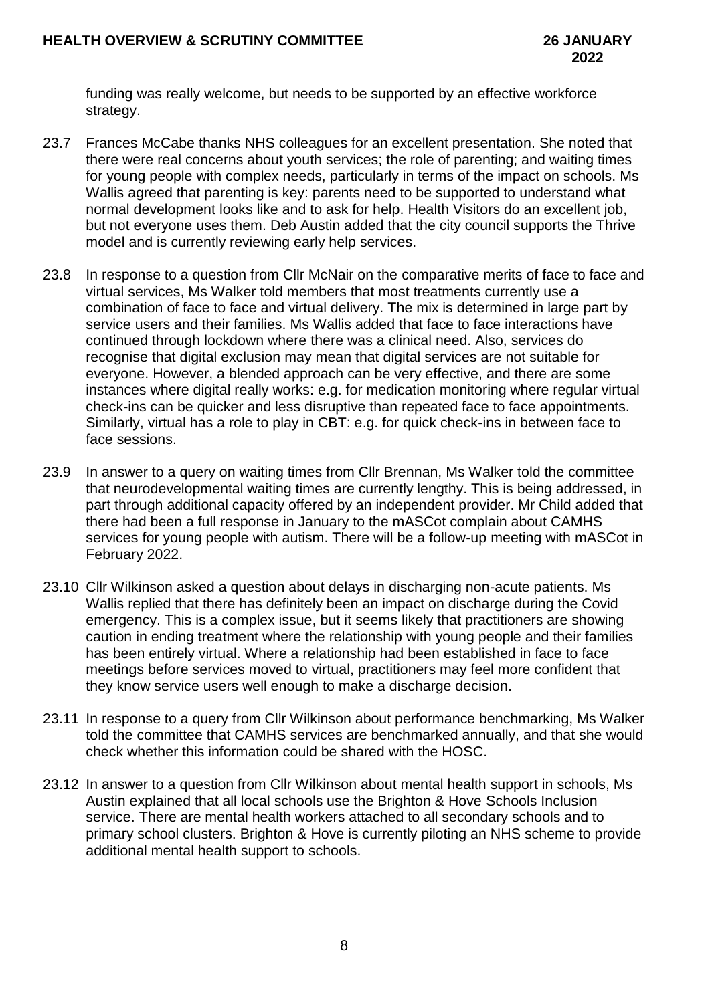funding was really welcome, but needs to be supported by an effective workforce strategy.

- 23.7 Frances McCabe thanks NHS colleagues for an excellent presentation. She noted that there were real concerns about youth services; the role of parenting; and waiting times for young people with complex needs, particularly in terms of the impact on schools. Ms Wallis agreed that parenting is key: parents need to be supported to understand what normal development looks like and to ask for help. Health Visitors do an excellent job, but not everyone uses them. Deb Austin added that the city council supports the Thrive model and is currently reviewing early help services.
- 23.8 In response to a question from Cllr McNair on the comparative merits of face to face and virtual services, Ms Walker told members that most treatments currently use a combination of face to face and virtual delivery. The mix is determined in large part by service users and their families. Ms Wallis added that face to face interactions have continued through lockdown where there was a clinical need. Also, services do recognise that digital exclusion may mean that digital services are not suitable for everyone. However, a blended approach can be very effective, and there are some instances where digital really works: e.g. for medication monitoring where regular virtual check-ins can be quicker and less disruptive than repeated face to face appointments. Similarly, virtual has a role to play in CBT: e.g. for quick check-ins in between face to face sessions.
- 23.9 In answer to a query on waiting times from Cllr Brennan, Ms Walker told the committee that neurodevelopmental waiting times are currently lengthy. This is being addressed, in part through additional capacity offered by an independent provider. Mr Child added that there had been a full response in January to the mASCot complain about CAMHS services for young people with autism. There will be a follow-up meeting with mASCot in February 2022.
- 23.10 Cllr Wilkinson asked a question about delays in discharging non-acute patients. Ms Wallis replied that there has definitely been an impact on discharge during the Covid emergency. This is a complex issue, but it seems likely that practitioners are showing caution in ending treatment where the relationship with young people and their families has been entirely virtual. Where a relationship had been established in face to face meetings before services moved to virtual, practitioners may feel more confident that they know service users well enough to make a discharge decision.
- 23.11 In response to a query from Cllr Wilkinson about performance benchmarking, Ms Walker told the committee that CAMHS services are benchmarked annually, and that she would check whether this information could be shared with the HOSC.
- 23.12 In answer to a question from Cllr Wilkinson about mental health support in schools, Ms Austin explained that all local schools use the Brighton & Hove Schools Inclusion service. There are mental health workers attached to all secondary schools and to primary school clusters. Brighton & Hove is currently piloting an NHS scheme to provide additional mental health support to schools.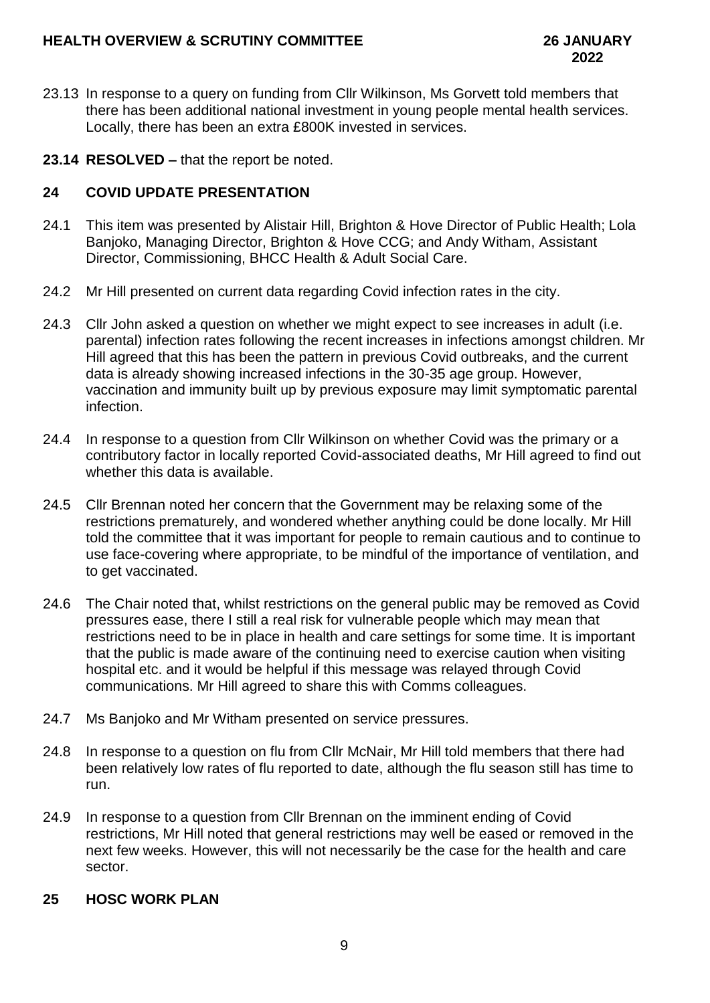- 23.13 In response to a query on funding from Cllr Wilkinson, Ms Gorvett told members that there has been additional national investment in young people mental health services. Locally, there has been an extra £800K invested in services.
- **23.14 RESOLVED –** that the report be noted.

## **24 COVID UPDATE PRESENTATION**

- 24.1 This item was presented by Alistair Hill, Brighton & Hove Director of Public Health; Lola Banjoko, Managing Director, Brighton & Hove CCG; and Andy Witham, Assistant Director, Commissioning, BHCC Health & Adult Social Care.
- 24.2 Mr Hill presented on current data regarding Covid infection rates in the city.
- 24.3 Cllr John asked a question on whether we might expect to see increases in adult (i.e. parental) infection rates following the recent increases in infections amongst children. Mr Hill agreed that this has been the pattern in previous Covid outbreaks, and the current data is already showing increased infections in the 30-35 age group. However, vaccination and immunity built up by previous exposure may limit symptomatic parental infection.
- 24.4 In response to a question from Cllr Wilkinson on whether Covid was the primary or a contributory factor in locally reported Covid-associated deaths, Mr Hill agreed to find out whether this data is available.
- 24.5 Cllr Brennan noted her concern that the Government may be relaxing some of the restrictions prematurely, and wondered whether anything could be done locally. Mr Hill told the committee that it was important for people to remain cautious and to continue to use face-covering where appropriate, to be mindful of the importance of ventilation, and to get vaccinated.
- 24.6 The Chair noted that, whilst restrictions on the general public may be removed as Covid pressures ease, there I still a real risk for vulnerable people which may mean that restrictions need to be in place in health and care settings for some time. It is important that the public is made aware of the continuing need to exercise caution when visiting hospital etc. and it would be helpful if this message was relayed through Covid communications. Mr Hill agreed to share this with Comms colleagues.
- 24.7 Ms Banjoko and Mr Witham presented on service pressures.
- 24.8 In response to a question on flu from Cllr McNair, Mr Hill told members that there had been relatively low rates of flu reported to date, although the flu season still has time to run.
- 24.9 In response to a question from Cllr Brennan on the imminent ending of Covid restrictions, Mr Hill noted that general restrictions may well be eased or removed in the next few weeks. However, this will not necessarily be the case for the health and care sector.

# **25 HOSC WORK PLAN**